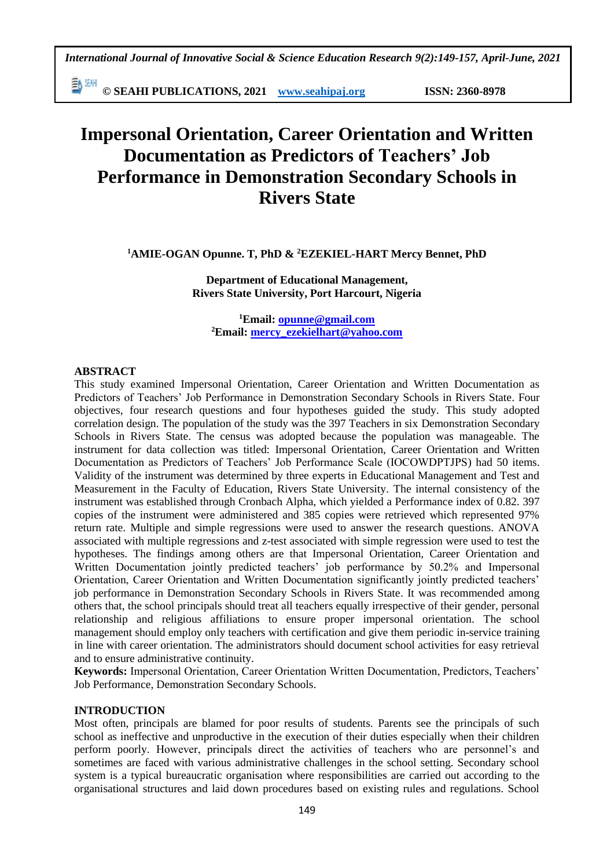EN SEMI **© SEAHI PUBLICATIONS, 2021 [www.seahipaj.org](http://www.seahipaj.org/) ISSN: 2360-8978**

# **Impersonal Orientation, Career Orientation and Written Documentation as Predictors of Teachers' Job Performance in Demonstration Secondary Schools in Rivers State**

**<sup>1</sup>AMIE-OGAN Opunne. T, PhD & <sup>2</sup>EZEKIEL-HART Mercy Bennet, PhD**

**Department of Educational Management, Rivers State University, Port Harcourt, Nigeria**

**<sup>1</sup>Email: [opunne@gmail.com](mailto:opunne@gmail.com) <sup>2</sup>Email: [mercy\\_ezekielhart@yahoo.com](mailto:mercy_ezekielhart@yahoo.com)**

# **ABSTRACT**

This study examined Impersonal Orientation, Career Orientation and Written Documentation as Predictors of Teachers' Job Performance in Demonstration Secondary Schools in Rivers State. Four objectives, four research questions and four hypotheses guided the study. This study adopted correlation design. The population of the study was the 397 Teachers in six Demonstration Secondary Schools in Rivers State. The census was adopted because the population was manageable. The instrument for data collection was titled: Impersonal Orientation, Career Orientation and Written Documentation as Predictors of Teachers' Job Performance Scale (IOCOWDPTJPS) had 50 items. Validity of the instrument was determined by three experts in Educational Management and Test and Measurement in the Faculty of Education, Rivers State University. The internal consistency of the instrument was established through Cronbach Alpha, which yielded a Performance index of 0.82. 397 copies of the instrument were administered and 385 copies were retrieved which represented 97% return rate. Multiple and simple regressions were used to answer the research questions. ANOVA associated with multiple regressions and z-test associated with simple regression were used to test the hypotheses. The findings among others are that Impersonal Orientation, Career Orientation and Written Documentation jointly predicted teachers' job performance by 50.2% and Impersonal Orientation, Career Orientation and Written Documentation significantly jointly predicted teachers' job performance in Demonstration Secondary Schools in Rivers State. It was recommended among others that, the school principals should treat all teachers equally irrespective of their gender, personal relationship and religious affiliations to ensure proper impersonal orientation. The school management should employ only teachers with certification and give them periodic in-service training in line with career orientation. The administrators should document school activities for easy retrieval and to ensure administrative continuity.

**Keywords:** Impersonal Orientation, Career Orientation Written Documentation, Predictors, Teachers' Job Performance, Demonstration Secondary Schools.

# **INTRODUCTION**

Most often, principals are blamed for poor results of students. Parents see the principals of such school as ineffective and unproductive in the execution of their duties especially when their children perform poorly. However, principals direct the activities of teachers who are personnel's and sometimes are faced with various administrative challenges in the school setting. Secondary school system is a typical bureaucratic organisation where responsibilities are carried out according to the organisational structures and laid down procedures based on existing rules and regulations. School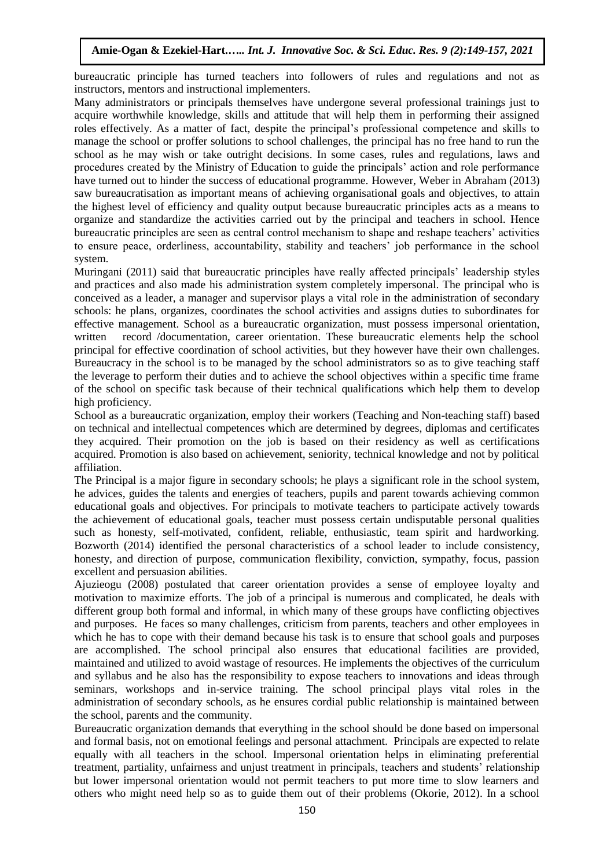bureaucratic principle has turned teachers into followers of rules and regulations and not as instructors, mentors and instructional implementers.

Many administrators or principals themselves have undergone several professional trainings just to acquire worthwhile knowledge, skills and attitude that will help them in performing their assigned roles effectively. As a matter of fact, despite the principal's professional competence and skills to manage the school or proffer solutions to school challenges, the principal has no free hand to run the school as he may wish or take outright decisions. In some cases, rules and regulations, laws and procedures created by the Ministry of Education to guide the principals' action and role performance have turned out to hinder the success of educational programme. However, Weber in Abraham (2013) saw bureaucratisation as important means of achieving organisational goals and objectives, to attain the highest level of efficiency and quality output because bureaucratic principles acts as a means to organize and standardize the activities carried out by the principal and teachers in school. Hence bureaucratic principles are seen as central control mechanism to shape and reshape teachers' activities to ensure peace, orderliness, accountability, stability and teachers' job performance in the school system.

Muringani (2011) said that bureaucratic principles have really affected principals' leadership styles and practices and also made his administration system completely impersonal. The principal who is conceived as a leader, a manager and supervisor plays a vital role in the administration of secondary schools: he plans, organizes, coordinates the school activities and assigns duties to subordinates for effective management. School as a bureaucratic organization, must possess impersonal orientation, written record /documentation, career orientation. These bureaucratic elements help the school principal for effective coordination of school activities, but they however have their own challenges. Bureaucracy in the school is to be managed by the school administrators so as to give teaching staff the leverage to perform their duties and to achieve the school objectives within a specific time frame of the school on specific task because of their technical qualifications which help them to develop high proficiency.

School as a bureaucratic organization, employ their workers (Teaching and Non-teaching staff) based on technical and intellectual competences which are determined by degrees, diplomas and certificates they acquired. Their promotion on the job is based on their residency as well as certifications acquired. Promotion is also based on achievement, seniority, technical knowledge and not by political affiliation.

The Principal is a major figure in secondary schools; he plays a significant role in the school system, he advices, guides the talents and energies of teachers, pupils and parent towards achieving common educational goals and objectives. For principals to motivate teachers to participate actively towards the achievement of educational goals, teacher must possess certain undisputable personal qualities such as honesty, self-motivated, confident, reliable, enthusiastic, team spirit and hardworking. Bozworth (2014) identified the personal characteristics of a school leader to include consistency, honesty, and direction of purpose, communication flexibility, conviction, sympathy, focus, passion excellent and persuasion abilities.

Ajuzieogu (2008) postulated that career orientation provides a sense of employee loyalty and motivation to maximize efforts. The job of a principal is numerous and complicated, he deals with different group both formal and informal, in which many of these groups have conflicting objectives and purposes. He faces so many challenges, criticism from parents, teachers and other employees in which he has to cope with their demand because his task is to ensure that school goals and purposes are accomplished. The school principal also ensures that educational facilities are provided, maintained and utilized to avoid wastage of resources. He implements the objectives of the curriculum and syllabus and he also has the responsibility to expose teachers to innovations and ideas through seminars, workshops and in-service training. The school principal plays vital roles in the administration of secondary schools, as he ensures cordial public relationship is maintained between the school, parents and the community.

Bureaucratic organization demands that everything in the school should be done based on impersonal and formal basis, not on emotional feelings and personal attachment. Principals are expected to relate equally with all teachers in the school. Impersonal orientation helps in eliminating preferential treatment, partiality, unfairness and unjust treatment in principals, teachers and students' relationship but lower impersonal orientation would not permit teachers to put more time to slow learners and others who might need help so as to guide them out of their problems (Okorie, 2012). In a school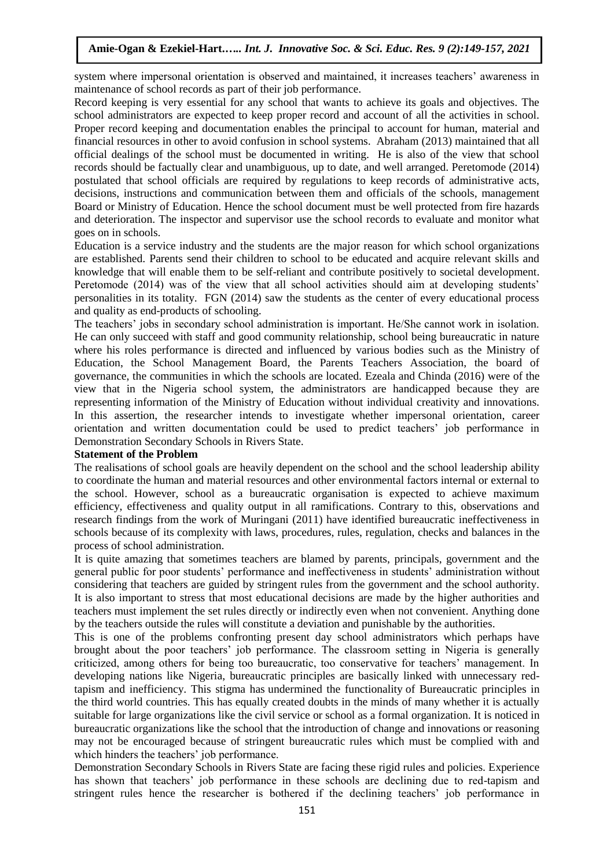system where impersonal orientation is observed and maintained, it increases teachers' awareness in maintenance of school records as part of their job performance.

Record keeping is very essential for any school that wants to achieve its goals and objectives. The school administrators are expected to keep proper record and account of all the activities in school. Proper record keeping and documentation enables the principal to account for human, material and financial resources in other to avoid confusion in school systems. Abraham (2013) maintained that all official dealings of the school must be documented in writing. He is also of the view that school records should be factually clear and unambiguous, up to date, and well arranged. Peretomode (2014) postulated that school officials are required by regulations to keep records of administrative acts, decisions, instructions and communication between them and officials of the schools, management Board or Ministry of Education. Hence the school document must be well protected from fire hazards and deterioration. The inspector and supervisor use the school records to evaluate and monitor what goes on in schools.

Education is a service industry and the students are the major reason for which school organizations are established. Parents send their children to school to be educated and acquire relevant skills and knowledge that will enable them to be self-reliant and contribute positively to societal development. Peretomode (2014) was of the view that all school activities should aim at developing students' personalities in its totality. FGN (2014) saw the students as the center of every educational process and quality as end-products of schooling.

The teachers' jobs in secondary school administration is important. He/She cannot work in isolation. He can only succeed with staff and good community relationship, school being bureaucratic in nature where his roles performance is directed and influenced by various bodies such as the Ministry of Education, the School Management Board, the Parents Teachers Association, the board of governance, the communities in which the schools are located. Ezeala and Chinda (2016) were of the view that in the Nigeria school system, the administrators are handicapped because they are representing information of the Ministry of Education without individual creativity and innovations. In this assertion, the researcher intends to investigate whether impersonal orientation, career orientation and written documentation could be used to predict teachers' job performance in Demonstration Secondary Schools in Rivers State.

#### **Statement of the Problem**

The realisations of school goals are heavily dependent on the school and the school leadership ability to coordinate the human and material resources and other environmental factors internal or external to the school. However, school as a bureaucratic organisation is expected to achieve maximum efficiency, effectiveness and quality output in all ramifications. Contrary to this, observations and research findings from the work of Muringani (2011) have identified bureaucratic ineffectiveness in schools because of its complexity with laws, procedures, rules, regulation, checks and balances in the process of school administration.

It is quite amazing that sometimes teachers are blamed by parents, principals, government and the general public for poor students' performance and ineffectiveness in students' administration without considering that teachers are guided by stringent rules from the government and the school authority. It is also important to stress that most educational decisions are made by the higher authorities and teachers must implement the set rules directly or indirectly even when not convenient. Anything done by the teachers outside the rules will constitute a deviation and punishable by the authorities.

This is one of the problems confronting present day school administrators which perhaps have brought about the poor teachers' job performance. The classroom setting in Nigeria is generally criticized, among others for being too bureaucratic, too conservative for teachers' management. In developing nations like Nigeria, bureaucratic principles are basically linked with unnecessary redtapism and inefficiency. This stigma has [undermined the functionality](https://www.projectwriters.ng/project-topic-critical-appraisal-legal-regime-copyirght-protection-nigeria-efficiency-enforcement/) of Bureaucratic principles in the third world countries. This has equally created doubts in the minds of many whether it is actually suitable for large organizations like the civil service or school as a formal organization. It is noticed in bureaucratic organizations like the school that the introduction of change and innovations or reasoning may not be encouraged because of stringent bureaucratic rules which must be complied with and which hinders the teachers' job performance.

Demonstration Secondary Schools in Rivers State are facing these rigid rules and policies. Experience has shown that teachers' job performance in these schools are declining due to red-tapism and stringent rules hence the researcher is bothered if the declining teachers' job performance in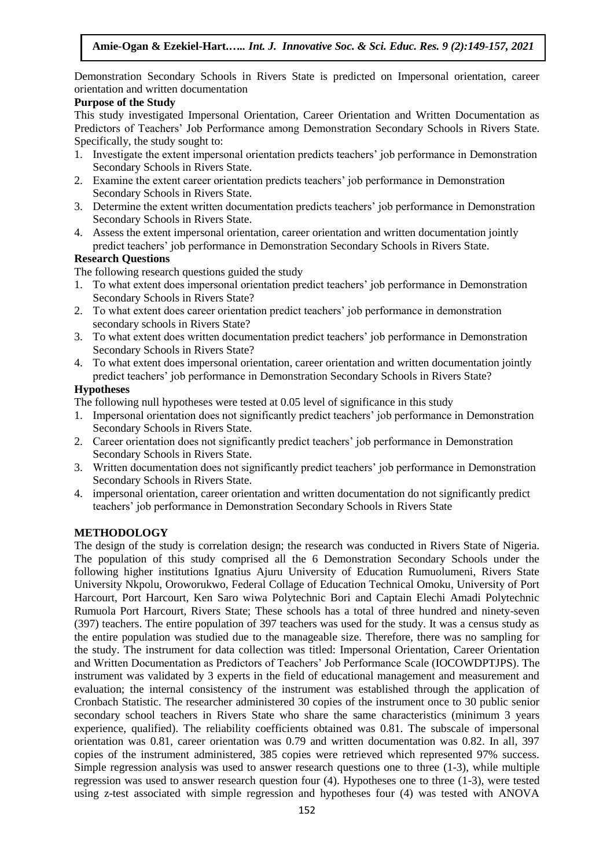Demonstration Secondary Schools in Rivers State is predicted on Impersonal orientation, career orientation and written documentation

## **Purpose of the Study**

This study investigated Impersonal Orientation, Career Orientation and Written Documentation as Predictors of Teachers' Job Performance among Demonstration Secondary Schools in Rivers State. Specifically, the study sought to:

- 1. Investigate the extent impersonal orientation predicts teachers' job performance in Demonstration Secondary Schools in Rivers State.
- 2. Examine the extent career orientation predicts teachers' job performance in Demonstration Secondary Schools in Rivers State.
- 3. Determine the extent written documentation predicts teachers' job performance in Demonstration Secondary Schools in Rivers State.
- 4. Assess the extent impersonal orientation, career orientation and written documentation jointly predict teachers' job performance in Demonstration Secondary Schools in Rivers State.

#### **Research Questions**

The following research questions guided the study

- 1. To what extent does impersonal orientation predict teachers' job performance in Demonstration Secondary Schools in Rivers State?
- 2. To what extent does career orientation predict teachers' job performance in demonstration secondary schools in Rivers State?
- 3. To what extent does written documentation predict teachers' job performance in Demonstration Secondary Schools in Rivers State?
- 4. To what extent does impersonal orientation, career orientation and written documentation jointly predict teachers' job performance in Demonstration Secondary Schools in Rivers State?

#### **Hypotheses**

The following null hypotheses were tested at 0.05 level of significance in this study

- 1. Impersonal orientation does not significantly predict teachers' job performance in Demonstration Secondary Schools in Rivers State.
- 2. Career orientation does not significantly predict teachers' job performance in Demonstration Secondary Schools in Rivers State.
- 3. Written documentation does not significantly predict teachers' job performance in Demonstration Secondary Schools in Rivers State.
- 4. impersonal orientation, career orientation and written documentation do not significantly predict teachers' job performance in Demonstration Secondary Schools in Rivers State

## **METHODOLOGY**

The design of the study is correlation design; the research was conducted in Rivers State of Nigeria. The population of this study comprised all the 6 Demonstration Secondary Schools under the following higher institutions Ignatius Ajuru University of Education Rumuolumeni, Rivers State University Nkpolu, Oroworukwo, Federal Collage of Education Technical Omoku, University of Port Harcourt, Port Harcourt, Ken Saro wiwa Polytechnic Bori and Captain Elechi Amadi Polytechnic Rumuola Port Harcourt, Rivers State; These schools has a total of three hundred and ninety-seven (397) teachers. The entire population of 397 teachers was used for the study. It was a census study as the entire population was studied due to the manageable size. Therefore, there was no sampling for the study. The instrument for data collection was titled: Impersonal Orientation, Career Orientation and Written Documentation as Predictors of Teachers' Job Performance Scale (IOCOWDPTJPS). The instrument was validated by 3 experts in the field of educational management and measurement and evaluation; the internal consistency of the instrument was established through the application of Cronbach Statistic. The researcher administered 30 copies of the instrument once to 30 public senior secondary school teachers in Rivers State who share the same characteristics (minimum 3 years experience, qualified). The reliability coefficients obtained was 0.81. The subscale of impersonal orientation was 0.81, career orientation was 0.79 and written documentation was 0.82. In all, 397 copies of the instrument administered, 385 copies were retrieved which represented 97% success. Simple regression analysis was used to answer research questions one to three (1-3), while multiple regression was used to answer research question four (4). Hypotheses one to three (1-3), were tested using z-test associated with simple regression and hypotheses four (4) was tested with ANOVA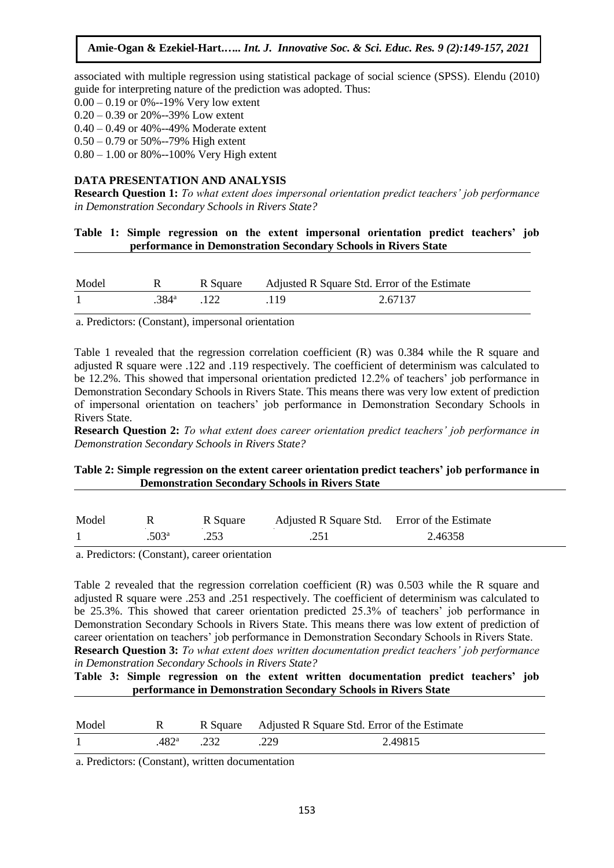associated with multiple regression using statistical package of social science (SPSS). Elendu (2010) guide for interpreting nature of the prediction was adopted. Thus:

0.00 – 0.19 or 0%--19% Very low extent

0.20 – 0.39 or 20%--39% Low extent

0.40 – 0.49 or 40%--49% Moderate extent 0.50 – 0.79 or 50%--79% High extent

0.80 – 1.00 or 80%--100% Very High extent

# **DATA PRESENTATION AND ANALYSIS**

**Research Question 1:** *To what extent does impersonal orientation predict teachers' job performance in Demonstration Secondary Schools in Rivers State?*

# **Table 1: Simple regression on the extent impersonal orientation predict teachers' job performance in Demonstration Secondary Schools in Rivers State**

| Model |                   | R Square | Adjusted R Square Std. Error of the Estimate |         |
|-------|-------------------|----------|----------------------------------------------|---------|
|       | .384 <sup>a</sup> | .122     | .119                                         | 2.67137 |

a. Predictors: (Constant), impersonal orientation

Table 1 revealed that the regression correlation coefficient (R) was 0.384 while the R square and adjusted R square were .122 and .119 respectively. The coefficient of determinism was calculated to be 12.2%. This showed that impersonal orientation predicted 12.2% of teachers' job performance in Demonstration Secondary Schools in Rivers State. This means there was very low extent of prediction of impersonal orientation on teachers' job performance in Demonstration Secondary Schools in Rivers State.

**Research Question 2:** *To what extent does career orientation predict teachers' job performance in Demonstration Secondary Schools in Rivers State?*

# **Table 2: Simple regression on the extent career orientation predict teachers' job performance in Demonstration Secondary Schools in Rivers State**

| Model |                   | R Square | Adjusted R Square Std. Error of the Estimate |         |
|-------|-------------------|----------|----------------------------------------------|---------|
|       | .503 <sup>a</sup> |          |                                              | 2.46358 |

a. Predictors: (Constant), career orientation

Table 2 revealed that the regression correlation coefficient (R) was 0.503 while the R square and adjusted R square were .253 and .251 respectively. The coefficient of determinism was calculated to be 25.3%. This showed that career orientation predicted 25.3% of teachers' job performance in Demonstration Secondary Schools in Rivers State. This means there was low extent of prediction of career orientation on teachers' job performance in Demonstration Secondary Schools in Rivers State. **Research Question 3:** *To what extent does written documentation predict teachers' job performance in Demonstration Secondary Schools in Rivers State?*

**Table 3: Simple regression on the extent written documentation predict teachers' job performance in Demonstration Secondary Schools in Rivers State**

| Model | R –                   | R Square Adjusted R Square Std. Error of the Estimate |         |  |
|-------|-----------------------|-------------------------------------------------------|---------|--|
|       | $.482^{\rm a}$ $.232$ | .229                                                  | 2.49815 |  |

a. Predictors: (Constant), written documentation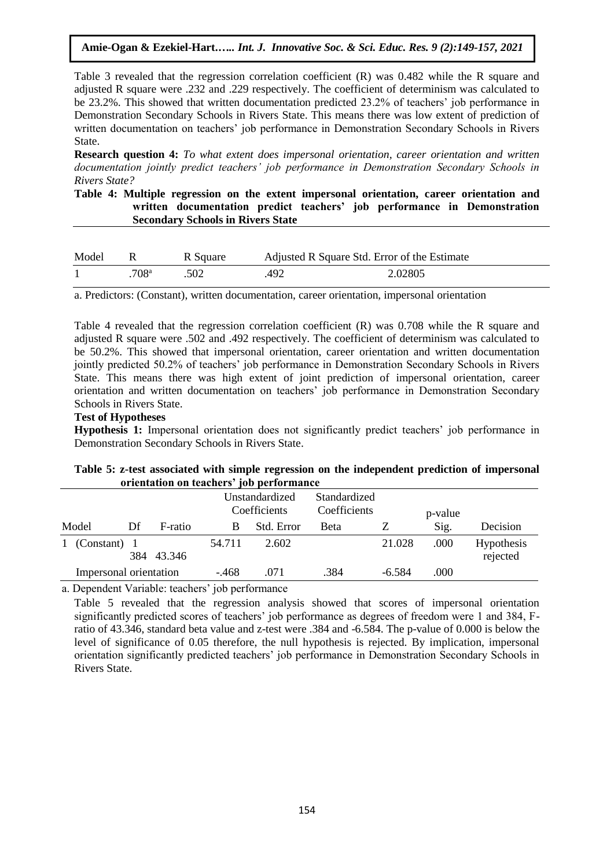Table 3 revealed that the regression correlation coefficient (R) was 0.482 while the R square and adjusted R square were .232 and .229 respectively. The coefficient of determinism was calculated to be 23.2%. This showed that written documentation predicted 23.2% of teachers' job performance in Demonstration Secondary Schools in Rivers State. This means there was low extent of prediction of written documentation on teachers' job performance in Demonstration Secondary Schools in Rivers State.

**Research question 4:** *To what extent does impersonal orientation, career orientation and written documentation jointly predict teachers' job performance in Demonstration Secondary Schools in Rivers State?*

## **Table 4: Multiple regression on the extent impersonal orientation, career orientation and written documentation predict teachers' job performance in Demonstration Secondary Schools in Rivers State**

| Model |      | R Square |      | Adjusted R Square Std. Error of the Estimate |
|-------|------|----------|------|----------------------------------------------|
|       | 708ª | .502     | .492 | 2.02805                                      |

a. Predictors: (Constant), written documentation, career orientation, impersonal orientation

Table 4 revealed that the regression correlation coefficient (R) was 0.708 while the R square and adjusted R square were .502 and .492 respectively. The coefficient of determinism was calculated to be 50.2%. This showed that impersonal orientation, career orientation and written documentation jointly predicted 50.2% of teachers' job performance in Demonstration Secondary Schools in Rivers State. This means there was high extent of joint prediction of impersonal orientation, career orientation and written documentation on teachers' job performance in Demonstration Secondary Schools in Rivers State.

#### **Test of Hypotheses**

**Hypothesis 1:** Impersonal orientation does not significantly predict teachers' job performance in Demonstration Secondary Schools in Rivers State.

## **Table 5: z-test associated with simple regression on the independent prediction of impersonal orientation on teachers' job performance**

|                        |    |                   | Unstandardized<br>Coefficients |            | Standardized<br>Coefficients |          | p-value |                        |
|------------------------|----|-------------------|--------------------------------|------------|------------------------------|----------|---------|------------------------|
| Model                  | Df | F-ratio           | В                              | Std. Error | Beta                         |          | Sig.    | Decision               |
| 1 (Constant)           |    | 384 43.346        | 54.711                         | 2.602      |                              | 21.028   | .000    | Hypothesis<br>rejected |
| Impersonal orientation |    |                   | $-468$                         | .071       | .384                         | $-6.584$ | .000    |                        |
| $\mathbf{\Gamma}$      |    | $1 \t37 \t11 \t1$ |                                |            |                              |          |         |                        |

a. Dependent Variable: teachers' job performance

Table 5 revealed that the regression analysis showed that scores of impersonal orientation significantly predicted scores of teachers' job performance as degrees of freedom were 1 and 384, Fratio of 43.346, standard beta value and z-test were .384 and -6.584. The p-value of 0.000 is below the level of significance of 0.05 therefore, the null hypothesis is rejected. By implication, impersonal orientation significantly predicted teachers' job performance in Demonstration Secondary Schools in Rivers State.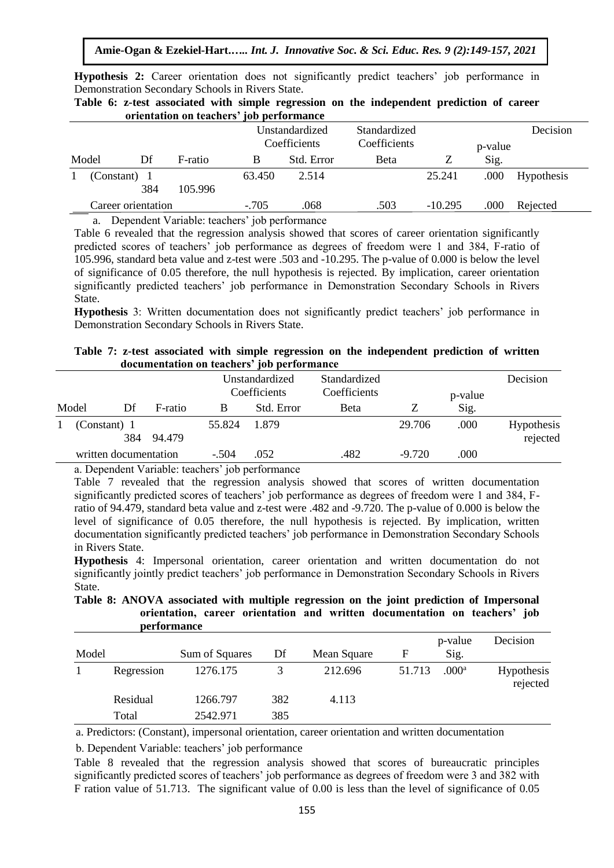|                                                  |  |  |  |  |  | <b>Hypothesis 2:</b> Career orientation does not significantly predict teachers' job performance in |  |
|--------------------------------------------------|--|--|--|--|--|-----------------------------------------------------------------------------------------------------|--|
| Demonstration Secondary Schools in Rivers State. |  |  |  |  |  |                                                                                                     |  |
|                                                  |  |  |  |  |  |                                                                                                     |  |

|       |                    | orientation on teachers' job performance |        |                              |              |           |         |                   |
|-------|--------------------|------------------------------------------|--------|------------------------------|--------------|-----------|---------|-------------------|
|       |                    |                                          |        | Unstandardized               | Standardized |           |         | Decision          |
|       |                    |                                          |        | Coefficients<br>Coefficients |              |           | p-value |                   |
| Model | Df                 | F-ratio                                  | В      | Std. Error                   | <b>B</b> eta |           | Sig.    |                   |
|       | (Constant) 1       |                                          | 63.450 | 2.514                        |              | 25.241    | .000    | <b>Hypothesis</b> |
|       | 384                | 105.996                                  |        |                              |              |           |         |                   |
|       | Career orientation |                                          | $-705$ | .068                         | .503         | $-10.295$ | .000    | Rejected          |

**Table 6: z-test associated with simple regression on the independent prediction of career orientation on teachers' job performance** 

a. Dependent Variable: teachers' job performance

Table 6 revealed that the regression analysis showed that scores of career orientation significantly predicted scores of teachers' job performance as degrees of freedom were 1 and 384, F-ratio of 105.996, standard beta value and z-test were .503 and -10.295. The p-value of 0.000 is below the level of significance of 0.05 therefore, the null hypothesis is rejected. By implication, career orientation significantly predicted teachers' job performance in Demonstration Secondary Schools in Rivers State.

**Hypothesis** 3: Written documentation does not significantly predict teachers' job performance in Demonstration Secondary Schools in Rivers State.

#### **Table 7: z-test associated with simple regression on the independent prediction of written documentation on teachers' job performance**

| Decision               | p-value |          | Standardized<br>Coefficients | Unstandardized<br>Coefficients |         |                       |                     |       |
|------------------------|---------|----------|------------------------------|--------------------------------|---------|-----------------------|---------------------|-------|
|                        | Sig.    |          | Beta                         | Std. Error                     | В       | F-ratio               | Df                  | Model |
| Hypothesis<br>rejected | .000    | 29.706   |                              | 1.879                          | 55.824  | 94.479                | (Constant) 1<br>384 |       |
|                        | .000    | $-9.720$ | .482                         | .052                           | $-.504$ | written documentation |                     |       |

a. Dependent Variable: teachers' job performance

Table 7 revealed that the regression analysis showed that scores of written documentation significantly predicted scores of teachers' job performance as degrees of freedom were 1 and 384, Fratio of 94.479, standard beta value and z-test were .482 and -9.720. The p-value of 0.000 is below the level of significance of 0.05 therefore, the null hypothesis is rejected. By implication, written documentation significantly predicted teachers' job performance in Demonstration Secondary Schools in Rivers State.

**Hypothesis** 4: Impersonal orientation, career orientation and written documentation do not significantly jointly predict teachers' job performance in Demonstration Secondary Schools in Rivers State.

**Table 8: ANOVA associated with multiple regression on the joint prediction of Impersonal orientation, career orientation and written documentation on teachers' job performance** 

| Model |            | Sum of Squares | Df           | Mean Square | F      | p-value<br>Sig.   | Decision               |
|-------|------------|----------------|--------------|-------------|--------|-------------------|------------------------|
|       | Regression | 1276.175       | $\mathbf{R}$ | 212.696     | 51.713 | .000 <sup>a</sup> | Hypothesis<br>rejected |
|       | Residual   | 1266.797       | 382          | 4.113       |        |                   |                        |
|       | Total      | 2542.971       | 385          |             |        |                   |                        |

a. Predictors: (Constant), impersonal orientation, career orientation and written documentation

b. Dependent Variable: teachers' job performance

Table 8 revealed that the regression analysis showed that scores of bureaucratic principles significantly predicted scores of teachers' job performance as degrees of freedom were 3 and 382 with F ration value of 51.713. The significant value of 0.00 is less than the level of significance of 0.05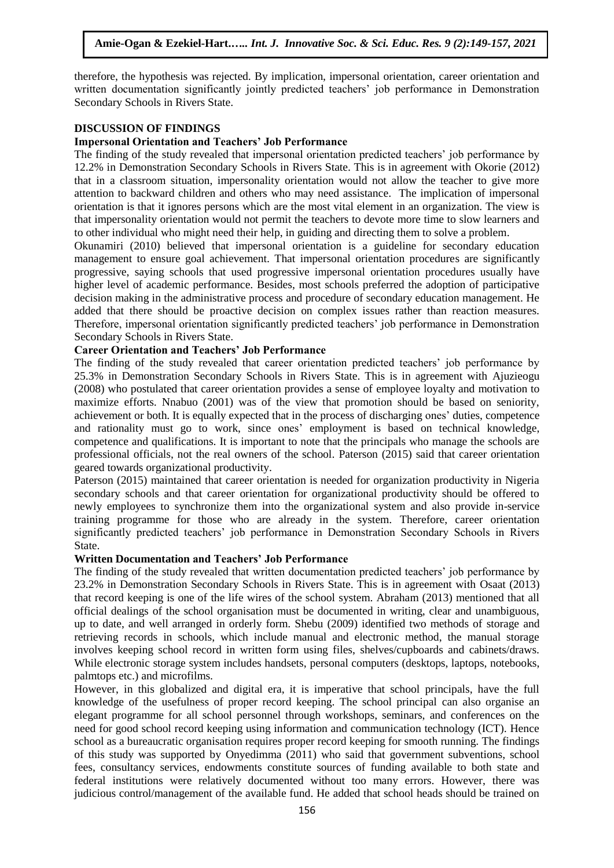therefore, the hypothesis was rejected. By implication, impersonal orientation, career orientation and written documentation significantly jointly predicted teachers' job performance in Demonstration Secondary Schools in Rivers State.

#### **DISCUSSION OF FINDINGS**

#### **Impersonal Orientation and Teachers' Job Performance**

The finding of the study revealed that impersonal orientation predicted teachers' job performance by 12.2% in Demonstration Secondary Schools in Rivers State. This is in agreement with Okorie (2012) that in a classroom situation, impersonality orientation would not allow the teacher to give more attention to backward children and others who may need assistance. The implication of impersonal orientation is that it ignores persons which are the most vital element in an organization. The view is that impersonality orientation would not permit the teachers to devote more time to slow learners and to other individual who might need their help, in guiding and directing them to solve a problem.

Okunamiri (2010) believed that impersonal orientation is a guideline for secondary education management to ensure goal achievement. That impersonal orientation procedures are significantly progressive, saying schools that used progressive impersonal orientation procedures usually have higher level of academic performance. Besides, most schools preferred the adoption of participative decision making in the administrative process and procedure of secondary education management. He added that there should be proactive decision on complex issues rather than reaction measures. Therefore, impersonal orientation significantly predicted teachers' job performance in Demonstration Secondary Schools in Rivers State.

#### **Career Orientation and Teachers' Job Performance**

The finding of the study revealed that career orientation predicted teachers' job performance by 25.3% in Demonstration Secondary Schools in Rivers State. This is in agreement with Ajuzieogu (2008) who postulated that career orientation provides a sense of employee loyalty and motivation to maximize efforts. Nnabuo (2001) was of the view that promotion should be based on seniority, achievement or both. It is equally expected that in the process of discharging ones' duties, competence and rationality must go to work, since ones' employment is based on technical knowledge, competence and qualifications. It is important to note that the principals who manage the schools are professional officials, not the real owners of the school. Paterson (2015) said that career orientation geared towards organizational productivity.

Paterson (2015) maintained that career orientation is needed for organization productivity in Nigeria secondary schools and that career orientation for organizational productivity should be offered to newly employees to synchronize them into the organizational system and also provide in-service training programme for those who are already in the system. Therefore, career orientation significantly predicted teachers' job performance in Demonstration Secondary Schools in Rivers State.

## **Written Documentation and Teachers' Job Performance**

The finding of the study revealed that written documentation predicted teachers' job performance by 23.2% in Demonstration Secondary Schools in Rivers State. This is in agreement with Osaat (2013) that record keeping is one of the life wires of the school system. Abraham (2013) mentioned that all official dealings of the school organisation must be documented in writing, clear and unambiguous, up to date, and well arranged in orderly form. Shebu (2009) identified two methods of storage and retrieving records in schools, which include manual and electronic method, the manual storage involves keeping school record in written form using files, shelves/cupboards and cabinets/draws. While electronic storage system includes handsets, personal computers (desktops, laptops, notebooks, palmtops etc.) and microfilms.

However, in this globalized and digital era, it is imperative that school principals, have the full knowledge of the usefulness of proper record keeping. The school principal can also organise an elegant programme for all school personnel through workshops, seminars, and conferences on the need for good school record keeping using information and communication technology (ICT). Hence school as a bureaucratic organisation requires proper record keeping for smooth running. The findings of this study was supported by Onyedimma (2011) who said that government subventions, school fees, consultancy services, endowments constitute sources of funding available to both state and federal institutions were relatively documented without too many errors. However, there was judicious control/management of the available fund. He added that school heads should be trained on